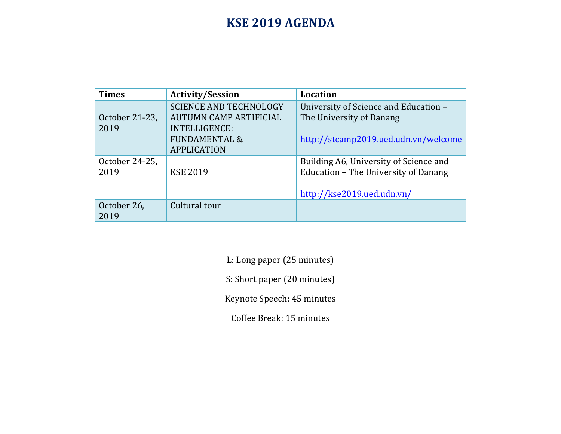## **KSE 2019 AGENDA**

| <b>Times</b>   | <b>Activity/Session</b>       | Location                               |
|----------------|-------------------------------|----------------------------------------|
|                | <b>SCIENCE AND TECHNOLOGY</b> | University of Science and Education -  |
| October 21-23, | <b>AUTUMN CAMP ARTIFICIAL</b> | The University of Danang               |
| 2019           | <b>INTELLIGENCE:</b>          |                                        |
|                | <b>FUNDAMENTAL &amp;</b>      | http://stcamp2019.ued.udn.vn/welcome   |
|                | <b>APPLICATION</b>            |                                        |
| October 24-25, |                               | Building A6, University of Science and |
| 2019           | <b>KSE 2019</b>               | Education - The University of Danang   |
|                |                               |                                        |
|                |                               | http://kse2019.ued.udn.vn/             |
| October 26,    | Cultural tour                 |                                        |
| 2019           |                               |                                        |

L: Long paper (25 minutes)

S: Short paper (20 minutes)

Keynote Speech: 45 minutes

Coffee Break: 15 minutes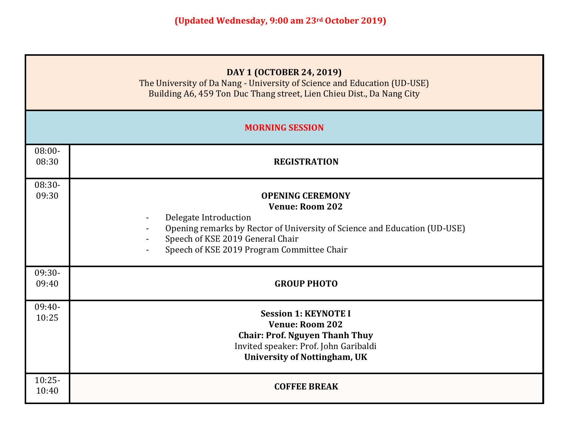|                    | DAY 1 (OCTOBER 24, 2019)<br>The University of Da Nang - University of Science and Education (UD-USE)<br>Building A6, 459 Ton Duc Thang street, Lien Chieu Dist., Da Nang City                                                             |  |  |  |  |
|--------------------|-------------------------------------------------------------------------------------------------------------------------------------------------------------------------------------------------------------------------------------------|--|--|--|--|
|                    | <b>MORNING SESSION</b>                                                                                                                                                                                                                    |  |  |  |  |
| $08:00 -$<br>08:30 | <b>REGISTRATION</b>                                                                                                                                                                                                                       |  |  |  |  |
| 08:30-<br>09:30    | <b>OPENING CEREMONY</b><br><b>Venue: Room 202</b><br>Delegate Introduction<br>Opening remarks by Rector of University of Science and Education (UD-USE)<br>Speech of KSE 2019 General Chair<br>Speech of KSE 2019 Program Committee Chair |  |  |  |  |
| 09:30-<br>09:40    | <b>GROUP PHOTO</b>                                                                                                                                                                                                                        |  |  |  |  |
| 09:40-<br>10:25    | <b>Session 1: KEYNOTE I</b><br><b>Venue: Room 202</b><br><b>Chair: Prof. Nguyen Thanh Thuy</b><br>Invited speaker: Prof. John Garibaldi<br><b>University of Nottingham, UK</b>                                                            |  |  |  |  |
| $10:25-$<br>10:40  | <b>COFFEE BREAK</b>                                                                                                                                                                                                                       |  |  |  |  |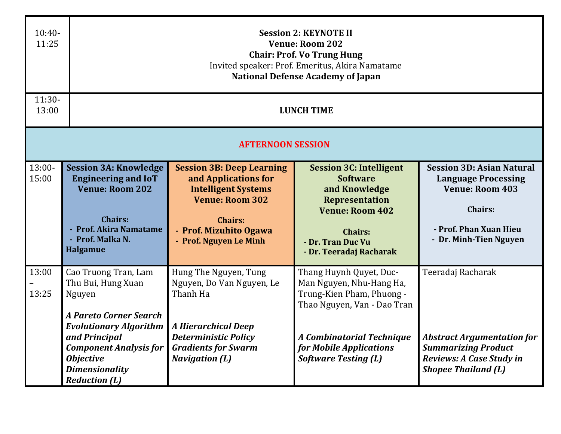| $10:40-$<br>11:25 |                                                                                                                                                                                                                                               | <b>Session 2: KEYNOTE II</b><br><b>Venue: Room 202</b><br><b>Chair: Prof. Vo Trung Hung</b><br>Invited speaker: Prof. Emeritus, Akira Namatame<br><b>National Defense Academy of Japan</b> |                                                                                                                                                                                                               |                                                                                                                                                                |  |  |
|-------------------|-----------------------------------------------------------------------------------------------------------------------------------------------------------------------------------------------------------------------------------------------|--------------------------------------------------------------------------------------------------------------------------------------------------------------------------------------------|---------------------------------------------------------------------------------------------------------------------------------------------------------------------------------------------------------------|----------------------------------------------------------------------------------------------------------------------------------------------------------------|--|--|
| $11:30-$<br>13:00 |                                                                                                                                                                                                                                               | <b>LUNCH TIME</b>                                                                                                                                                                          |                                                                                                                                                                                                               |                                                                                                                                                                |  |  |
|                   | <b>AFTERNOON SESSION</b>                                                                                                                                                                                                                      |                                                                                                                                                                                            |                                                                                                                                                                                                               |                                                                                                                                                                |  |  |
| $13:00-$<br>15:00 | <b>Session 3A: Knowledge</b><br><b>Engineering and IoT</b><br><b>Venue: Room 202</b><br><b>Chairs:</b><br><b>Prof. Akira Namatame</b><br>- Prof. Malka N.<br><b>Halgamue</b>                                                                  | <b>Session 3B: Deep Learning</b><br>and Applications for<br><b>Intelligent Systems</b><br><b>Venue: Room 302</b><br><b>Chairs:</b><br>- Prof. Mizuhito Ogawa<br>- Prof. Nguyen Le Minh     | <b>Session 3C: Intelligent</b><br><b>Software</b><br>and Knowledge<br>Representation<br><b>Venue: Room 402</b><br><b>Chairs:</b><br>- Dr. Tran Duc Vu<br>- Dr. Teeradaj Racharak                              | <b>Session 3D: Asian Natural</b><br><b>Language Processing</b><br><b>Venue: Room 403</b><br><b>Chairs:</b><br>- Prof. Phan Xuan Hieu<br>- Dr. Minh-Tien Nguyen |  |  |
| 13:00<br>13:25    | Cao Truong Tran, Lam<br>Thu Bui, Hung Xuan<br>Nguyen<br><b>A Pareto Corner Search</b><br><b>Evolutionary Algorithm</b><br>and Principal<br><b>Component Analysis for</b><br><b>Objective</b><br><b>Dimensionality</b><br><b>Reduction (L)</b> | Hung The Nguyen, Tung<br>Nguyen, Do Van Nguyen, Le<br>Thanh Ha<br><b>A Hierarchical Deep</b><br><b>Deterministic Policy</b><br><b>Gradients for Swarm</b><br><b>Navigation (L)</b>         | Thang Huynh Quyet, Duc-<br>Man Nguyen, Nhu-Hang Ha,<br>Trung-Kien Pham, Phuong -<br>Thao Nguyen, Van - Dao Tran<br><b>A Combinatorial Technique</b><br>for Mobile Applications<br><b>Software Testing (L)</b> | Teeradaj Racharak<br><b>Abstract Argumentation for</b><br><b>Summarizing Product</b><br>Reviews: A Case Study in<br><b>Shopee Thailand (L)</b>                 |  |  |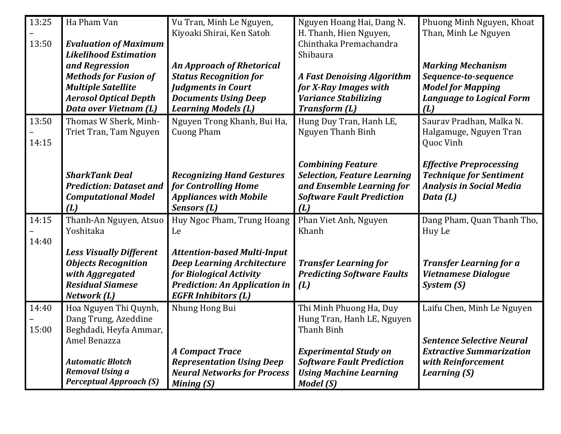| 13:25 | Ha Pham Van                                   | Vu Tran, Minh Le Nguyen,             | Nguyen Hoang Hai, Dang N.                             | Phuong Minh Nguyen, Khoat                                        |
|-------|-----------------------------------------------|--------------------------------------|-------------------------------------------------------|------------------------------------------------------------------|
| 13:50 | <b>Evaluation of Maximum</b>                  | Kiyoaki Shirai, Ken Satoh            | H. Thanh, Hien Nguyen,<br>Chinthaka Premachandra      | Than, Minh Le Nguyen                                             |
|       | <b>Likelihood Estimation</b>                  |                                      | Shibaura                                              |                                                                  |
|       | and Regression                                | <b>An Approach of Rhetorical</b>     |                                                       | <b>Marking Mechanism</b>                                         |
|       | <b>Methods for Fusion of</b>                  | <b>Status Recognition for</b>        | <b>A Fast Denoising Algorithm</b>                     | Sequence-to-sequence                                             |
|       | <b>Multiple Satellite</b>                     | <b>Judgments in Court</b>            | for X-Ray Images with                                 | <b>Model for Mapping</b>                                         |
|       | <b>Aerosol Optical Depth</b>                  | <b>Documents Using Deep</b>          | <b>Variance Stabilizing</b>                           | <b>Language to Logical Form</b>                                  |
|       | Data over Vietnam (L)                         | <b>Learning Models (L)</b>           | <b>Transform (L)</b>                                  | (L)                                                              |
| 13:50 | Thomas W Sherk, Minh-                         | Nguyen Trong Khanh, Bui Ha,          | Hung Duy Tran, Hanh LE,                               | Saurav Pradhan, Malka N.                                         |
|       | Triet Tran, Tam Nguyen                        | <b>Cuong Pham</b>                    | Nguyen Thanh Binh                                     | Halgamuge, Nguyen Tran                                           |
| 14:15 |                                               |                                      |                                                       | Quoc Vinh                                                        |
|       |                                               |                                      | <b>Combining Feature</b>                              |                                                                  |
|       | <b>SharkTank Deal</b>                         | <b>Recognizing Hand Gestures</b>     | <b>Selection, Feature Learning</b>                    | <b>Effective Preprocessing</b><br><b>Technique for Sentiment</b> |
|       | <b>Prediction: Dataset and</b>                | for Controlling Home                 | and Ensemble Learning for                             | <b>Analysis in Social Media</b>                                  |
|       | <b>Computational Model</b>                    | <b>Appliances with Mobile</b>        | <b>Software Fault Prediction</b>                      | Data (L)                                                         |
|       | (L)                                           | Sensors (L)                          | (L)                                                   |                                                                  |
| 14:15 | Thanh-An Nguyen, Atsuo                        | Huy Ngoc Pham, Trung Hoang           | Phan Viet Anh, Nguyen                                 | Dang Pham, Quan Thanh Tho,                                       |
|       | Yoshitaka                                     | Le                                   | Khanh                                                 | Huy Le                                                           |
| 14:40 |                                               |                                      |                                                       |                                                                  |
|       | <b>Less Visually Different</b>                | <b>Attention-based Multi-Input</b>   |                                                       |                                                                  |
|       | <b>Objects Recognition</b>                    | <b>Deep Learning Architecture</b>    | <b>Transfer Learning for</b>                          | <b>Transfer Learning for a</b>                                   |
|       | with Aggregated                               | for Biological Activity              | <b>Predicting Software Faults</b>                     | <b>Vietnamese Dialogue</b>                                       |
|       | <b>Residual Siamese</b>                       | <b>Prediction: An Application in</b> | (L)                                                   | System (S)                                                       |
|       | Network (L)                                   | <b>EGFR Inhibitors (L)</b>           |                                                       |                                                                  |
| 14:40 | Hoa Nguyen Thi Quynh,<br>Dang Trung, Azeddine | Nhung Hong Bui                       | Thi Minh Phuong Ha, Duy<br>Hung Tran, Hanh LE, Nguyen | Laifu Chen, Minh Le Nguyen                                       |
| 15:00 | Beghdadi, Heyfa Ammar,                        |                                      | Thanh Binh                                            |                                                                  |
|       | Amel Benazza                                  |                                      |                                                       | <b>Sentence Selective Neural</b>                                 |
|       |                                               | <b>A Compact Trace</b>               | <b>Experimental Study on</b>                          | <b>Extractive Summarization</b>                                  |
|       | <b>Automatic Blotch</b>                       | <b>Representation Using Deep</b>     | <b>Software Fault Prediction</b>                      | with Reinforcement                                               |
|       | Removal Using a                               | <b>Neural Networks for Process</b>   | <b>Using Machine Learning</b>                         | Learning (S)                                                     |
|       | <b>Perceptual Approach (S)</b>                | <b>Mining (S)</b>                    | Model (S)                                             |                                                                  |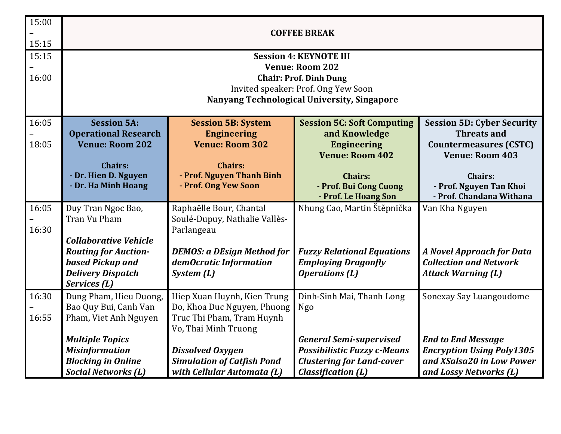| 15:00 | <b>COFFEE BREAK</b>                                     |                                                          |                                                     |                                                            |
|-------|---------------------------------------------------------|----------------------------------------------------------|-----------------------------------------------------|------------------------------------------------------------|
| 15:15 |                                                         |                                                          |                                                     |                                                            |
| 15:15 | <b>Session 4: KEYNOTE III</b>                           |                                                          |                                                     |                                                            |
| 16:00 | <b>Venue: Room 202</b><br><b>Chair: Prof. Dinh Dung</b> |                                                          |                                                     |                                                            |
|       |                                                         |                                                          | Invited speaker: Prof. Ong Yew Soon                 |                                                            |
|       |                                                         |                                                          | Nanyang Technological University, Singapore         |                                                            |
| 16:05 | <b>Session 5A:</b>                                      | <b>Session 5B: System</b>                                | <b>Session 5C: Soft Computing</b>                   | <b>Session 5D: Cyber Security</b>                          |
| 18:05 | <b>Operational Research</b><br><b>Venue: Room 202</b>   | <b>Engineering</b><br><b>Venue: Room 302</b>             | and Knowledge<br><b>Engineering</b>                 | <b>Threats and</b><br><b>Countermeasures (CSTC)</b>        |
|       |                                                         |                                                          | <b>Venue: Room 402</b>                              | <b>Venue: Room 403</b>                                     |
|       | <b>Chairs:</b><br>- Dr. Hien D. Nguyen                  | <b>Chairs:</b><br>- Prof. Nguyen Thanh Binh              | <b>Chairs:</b>                                      | <b>Chairs:</b>                                             |
|       | - Dr. Ha Minh Hoang                                     | - Prof. Ong Yew Soon                                     | - Prof. Bui Cong Cuong                              | - Prof. Nguyen Tan Khoi                                    |
|       |                                                         |                                                          | - Prof. Le Hoang Son                                | - Prof. Chandana Withana                                   |
| 16:05 | Duy Tran Ngoc Bao,                                      | Raphaëlle Bour, Chantal                                  | Nhung Cao, Martin Štěpnička                         | Van Kha Nguyen                                             |
| 16:30 | Tran Vu Pham                                            | Soulé-Dupuy, Nathalie Vallès-<br>Parlangeau              |                                                     |                                                            |
|       | <b>Collaborative Vehicle</b>                            |                                                          |                                                     |                                                            |
|       | <b>Routing for Auction-</b>                             | <b>DEMOS: a DEsign Method for</b>                        | <b>Fuzzy Relational Equations</b>                   | <b>A Novel Approach for Data</b>                           |
|       | based Pickup and<br><b>Delivery Dispatch</b>            | demOcratic Information<br>System(L)                      | <b>Employing Dragonfly</b><br><b>Operations</b> (L) | <b>Collection and Network</b><br><b>Attack Warning (L)</b> |
|       | Services (L)                                            |                                                          |                                                     |                                                            |
| 16:30 | Dung Pham, Hieu Duong,                                  | Hiep Xuan Huynh, Kien Trung                              | Dinh-Sinh Mai, Thanh Long                           | Sonexay Say Luangoudome                                    |
| 16:55 | Bao Quy Bui, Canh Van<br>Pham, Viet Anh Nguyen          | Do, Khoa Duc Nguyen, Phuong<br>Truc Thi Pham, Tram Huynh | <b>Ngo</b>                                          |                                                            |
|       |                                                         | Vo, Thai Minh Truong                                     |                                                     |                                                            |
|       | <b>Multiple Topics</b>                                  |                                                          | <b>General Semi-supervised</b>                      | <b>End to End Message</b>                                  |
|       | <b>Misinformation</b>                                   | <b>Dissolved Oxygen</b>                                  | <b>Possibilistic Fuzzy c-Means</b>                  | <b>Encryption Using Poly1305</b>                           |
|       | <b>Blocking in Online</b>                               | <b>Simulation of Catfish Pond</b>                        | <b>Clustering for Land-cover</b>                    | and XSalsa20 in Low Power                                  |
|       | <b>Social Networks (L)</b>                              | with Cellular Automata (L)                               | <b>Classification (L)</b>                           | and Lossy Networks (L)                                     |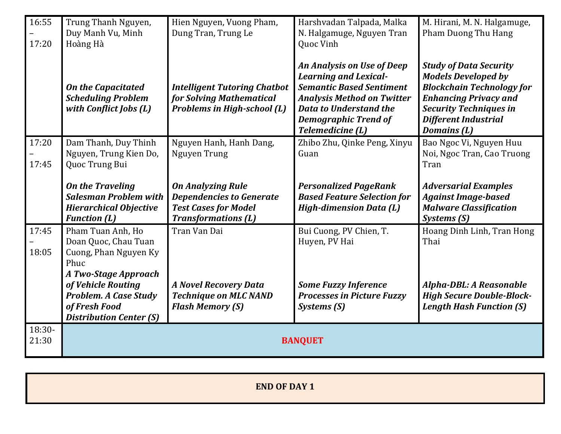| 16:55<br>17:20    | Trung Thanh Nguyen,<br>Duy Manh Vu, Minh<br>Hoàng Hà                                                            | Hien Nguyen, Vuong Pham,<br>Dung Tran, Trung Le                                                                          | Harshvadan Talpada, Malka<br>N. Halgamuge, Nguyen Tran<br>Quoc Vinh                                                                                                                                                    | M. Hirani, M. N. Halgamuge,<br>Pham Duong Thu Hang                                                                                                                                                                    |
|-------------------|-----------------------------------------------------------------------------------------------------------------|--------------------------------------------------------------------------------------------------------------------------|------------------------------------------------------------------------------------------------------------------------------------------------------------------------------------------------------------------------|-----------------------------------------------------------------------------------------------------------------------------------------------------------------------------------------------------------------------|
|                   | <b>On the Capacitated</b><br><b>Scheduling Problem</b><br>with Conflict Jobs (L)                                | <b>Intelligent Tutoring Chatbot</b><br>for Solving Mathematical<br><b>Problems in High-school (L)</b>                    | An Analysis on Use of Deep<br><b>Learning and Lexical-</b><br><b>Semantic Based Sentiment</b><br><b>Analysis Method on Twitter</b><br><b>Data to Understand the</b><br><b>Demographic Trend of</b><br>Telemedicine (L) | <b>Study of Data Security</b><br><b>Models Developed by</b><br><b>Blockchain Technology for</b><br><b>Enhancing Privacy and</b><br><b>Security Techniques in</b><br><b>Different Industrial</b><br><b>Domains</b> (L) |
| 17:20             | Dam Thanh, Duy Thinh<br>Nguyen, Trung Kien Do,                                                                  | Nguyen Hanh, Hanh Dang,<br>Nguyen Trung                                                                                  | Zhibo Zhu, Qinke Peng, Xinyu<br>Guan                                                                                                                                                                                   | Bao Ngoc Vi, Nguyen Huu<br>Noi, Ngoc Tran, Cao Truong                                                                                                                                                                 |
| 17:45             | Quoc Trung Bui                                                                                                  |                                                                                                                          |                                                                                                                                                                                                                        | Tran                                                                                                                                                                                                                  |
|                   | <b>On the Traveling</b><br><b>Salesman Problem with</b><br><b>Hierarchical Objective</b><br><b>Function (L)</b> | <b>On Analyzing Rule</b><br><b>Dependencies to Generate</b><br><b>Test Cases for Model</b><br><b>Transformations (L)</b> | <b>Personalized PageRank</b><br><b>Based Feature Selection for</b><br><b>High-dimension Data (L)</b>                                                                                                                   | <b>Adversarial Examples</b><br><b>Against Image-based</b><br><b>Malware Classification</b><br>Systems (S)                                                                                                             |
| 17:45<br>18:05    | Pham Tuan Anh, Ho<br>Doan Quoc, Chau Tuan<br>Cuong, Phan Nguyen Ky<br>Phuc<br>A Two-Stage Approach              | Tran Van Dai                                                                                                             | Bui Cuong, PV Chien, T.<br>Huyen, PV Hai                                                                                                                                                                               | Hoang Dinh Linh, Tran Hong<br>Thai                                                                                                                                                                                    |
|                   | of Vehicle Routing<br><b>Problem. A Case Study</b><br>of Fresh Food<br><b>Distribution Center (S)</b>           | <b>A Novel Recovery Data</b><br><b>Technique on MLC NAND</b><br><b>Flash Memory (S)</b>                                  | <b>Some Fuzzy Inference</b><br><b>Processes in Picture Fuzzy</b><br>Systems (S)                                                                                                                                        | Alpha-DBL: A Reasonable<br><b>High Secure Double-Block-</b><br><b>Length Hash Function (S)</b>                                                                                                                        |
| $18:30-$<br>21:30 | <b>BANQUET</b>                                                                                                  |                                                                                                                          |                                                                                                                                                                                                                        |                                                                                                                                                                                                                       |

| <b>END OF DAY 1</b> |
|---------------------|
|                     |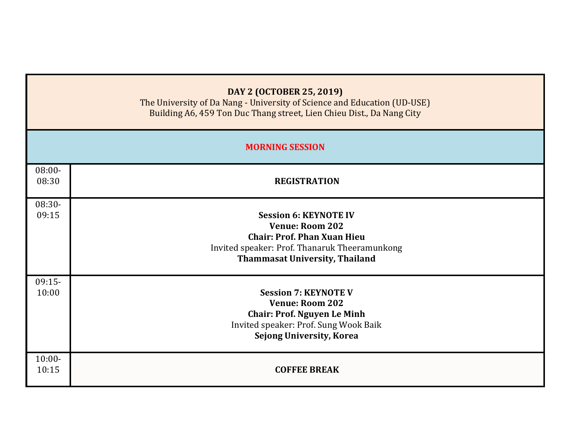|                    | DAY 2 (OCTOBER 25, 2019)<br>The University of Da Nang - University of Science and Education (UD-USE)<br>Building A6, 459 Ton Duc Thang street, Lien Chieu Dist., Da Nang City          |  |  |  |  |
|--------------------|----------------------------------------------------------------------------------------------------------------------------------------------------------------------------------------|--|--|--|--|
|                    | <b>MORNING SESSION</b>                                                                                                                                                                 |  |  |  |  |
| $08:00 -$<br>08:30 | <b>REGISTRATION</b>                                                                                                                                                                    |  |  |  |  |
| 08:30-<br>09:15    | <b>Session 6: KEYNOTE IV</b><br><b>Venue: Room 202</b><br><b>Chair: Prof. Phan Xuan Hieu</b><br>Invited speaker: Prof. Thanaruk Theeramunkong<br><b>Thammasat University, Thailand</b> |  |  |  |  |
| $09:15-$<br>10:00  | <b>Session 7: KEYNOTE V</b><br><b>Venue: Room 202</b><br><b>Chair: Prof. Nguyen Le Minh</b><br>Invited speaker: Prof. Sung Wook Baik<br><b>Sejong University, Korea</b>                |  |  |  |  |
| $10:00 -$<br>10:15 | <b>COFFEE BREAK</b>                                                                                                                                                                    |  |  |  |  |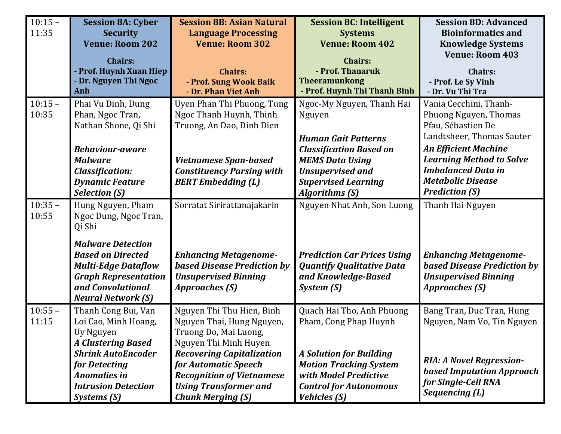| $10:15 -$<br>11:35 | <b>Session 8A: Cyber</b><br><b>Security</b><br><b>Venue: Room 202</b>                                                                                                                                                       | <b>Session 8B: Asian Natural</b><br><b>Language Processing</b><br><b>Venue: Room 302</b>                                                                                                                                                                             | <b>Session 8C: Intelligent</b><br><b>Systems</b><br><b>Venue: Room 402</b>                                                                                                                                      | <b>Session 8D: Advanced</b><br><b>Bioinformatics and</b><br><b>Knowledge Systems</b>                                                                                                                                                                   |
|--------------------|-----------------------------------------------------------------------------------------------------------------------------------------------------------------------------------------------------------------------------|----------------------------------------------------------------------------------------------------------------------------------------------------------------------------------------------------------------------------------------------------------------------|-----------------------------------------------------------------------------------------------------------------------------------------------------------------------------------------------------------------|--------------------------------------------------------------------------------------------------------------------------------------------------------------------------------------------------------------------------------------------------------|
|                    | <b>Chairs:</b><br>- Prof. Huynh Xuan Hiep<br>- Dr. Nguyen Thi Ngoc<br>Anh                                                                                                                                                   | <b>Chairs:</b><br>- Prof. Sung Wook Baik<br>- Dr. Phan Viet Anh                                                                                                                                                                                                      | <b>Chairs:</b><br>- Prof. Thanaruk<br><b>Theeramunkong</b><br>- Prof. Huynh Thi Thanh Binh                                                                                                                      | <b>Venue: Room 403</b><br><b>Chairs:</b><br>- Prof. Le Sy Vinh<br>- Dr. Vu Thi Tra                                                                                                                                                                     |
| $10:15 -$<br>10:35 | Phai Vu Dinh, Dung<br>Phan, Ngoc Tran,<br>Nathan Shone, Qi Shi<br><b>Behaviour-aware</b><br><b>Malware</b><br><b>Classification:</b><br><b>Dynamic Feature</b><br><b>Selection (S)</b>                                      | Uyen Phan Thi Phuong, Tung<br>Ngoc Thanh Huynh, Thinh<br>Truong, An Dao, Dinh Dien<br><b>Vietnamese Span-based</b><br><b>Constituency Parsing with</b><br><b>BERT</b> Embedding (L)                                                                                  | Ngoc-My Nguyen, Thanh Hai<br>Nguyen<br><b>Human Gait Patterns</b><br><b>Classification Based on</b><br><b>MEMS Data Using</b><br><b>Unsupervised and</b><br><b>Supervised Learning</b><br><b>Algorithms (S)</b> | Vania Cecchini, Thanh-<br>Phuong Nguyen, Thomas<br>Pfau, Sébastien De<br>Landtsheer, Thomas Sauter<br><b>An Efficient Machine</b><br><b>Learning Method to Solve</b><br><b>Imbalanced Data in</b><br><b>Metabolic Disease</b><br><b>Prediction (S)</b> |
| $10:35 -$<br>10:55 | Hung Nguyen, Pham<br>Ngoc Dung, Ngoc Tran,<br>Qi Shi<br><b>Malware Detection</b><br><b>Based on Directed</b><br><b>Multi-Edge Dataflow</b><br><b>Graph Representation</b><br>and Convolutional<br><b>Neural Network (S)</b> | Sorratat Sirirattanajakarin<br><b>Enhancing Metagenome-</b><br><b>based Disease Prediction by</b><br><b>Unsupervised Binning</b><br>Approaches (S)                                                                                                                   | Nguyen Nhat Anh, Son Luong<br><b>Prediction Car Prices Using</b><br><b>Quantify Qualitative Data</b><br>and Knowledge-Based<br>System (S)                                                                       | Thanh Hai Nguyen<br><b>Enhancing Metagenome-</b><br><b>based Disease Prediction by</b><br><b>Unsupervised Binning</b><br><b>Approaches (S)</b>                                                                                                         |
| $10:55 -$<br>11:15 | Thanh Cong Bui, Van<br>Loi Cao, Minh Hoang,<br>Uy Nguyen<br><b>A Clustering Based</b><br><b>Shrink AutoEncoder</b><br>for Detecting<br><b>Anomalies in</b><br><b>Intrusion Detection</b><br>Systems (S)                     | Nguyen Thi Thu Hien, Binh<br>Nguyen Thai, Hung Nguyen,<br>Truong Do, Mai Luong,<br>Nguyen Thi Minh Huyen<br><b>Recovering Capitalization</b><br>for Automatic Speech<br><b>Recognition of Vietnamese</b><br><b>Using Transformer and</b><br><b>Chunk Merging (S)</b> | Quach Hai Tho, Anh Phuong<br>Pham, Cong Phap Huynh<br><b>A Solution for Building</b><br><b>Motion Tracking System</b><br>with Model Predictive<br><b>Control for Autonomous</b><br><b>Vehicles (S)</b>          | Bang Tran, Duc Tran, Hung<br>Nguyen, Nam Vo, Tin Nguyen<br><b>RIA: A Novel Regression-</b><br><b>based Imputation Approach</b><br>for Single-Cell RNA<br>Sequencing (L)                                                                                |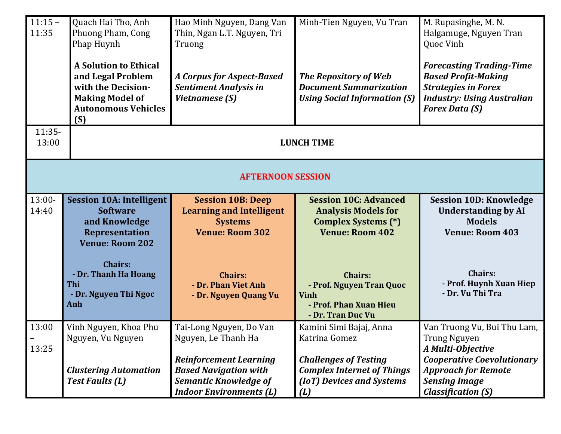| $11:15 -$<br>11:35 | Quach Hai Tho, Anh<br>Phuong Pham, Cong<br>Phap Huynh<br><b>A Solution to Ethical</b>                           | Hao Minh Nguyen, Dang Van<br>Thin, Ngan L.T. Nguyen, Tri<br>Truong                                                              | Minh-Tien Nguyen, Vu Tran                                                                                          | M. Rupasinghe, M. N.<br>Halgamuge, Nguyen Tran<br>Quoc Vinh<br><b>Forecasting Trading-Time</b>                         |
|--------------------|-----------------------------------------------------------------------------------------------------------------|---------------------------------------------------------------------------------------------------------------------------------|--------------------------------------------------------------------------------------------------------------------|------------------------------------------------------------------------------------------------------------------------|
|                    | and Legal Problem<br>with the Decision-<br><b>Making Model of</b><br><b>Autonomous Vehicles</b><br>(S)          | <b>A Corpus for Aspect-Based</b><br><b>Sentiment Analysis in</b><br>Vietnamese (S)                                              | The Repository of Web<br><b>Document Summarization</b><br><b>Using Social Information (S)</b>                      | <b>Based Profit-Making</b><br><b>Strategies in Forex</b><br><b>Industry: Using Australian</b><br><b>Forex Data (S)</b> |
| $11:35-$<br>13:00  |                                                                                                                 |                                                                                                                                 | <b>LUNCH TIME</b>                                                                                                  |                                                                                                                        |
|                    |                                                                                                                 | <b>AFTERNOON SESSION</b>                                                                                                        |                                                                                                                    |                                                                                                                        |
| 13:00-<br>14:40    | <b>Session 10A: Intelligent</b><br><b>Software</b><br>and Knowledge<br>Representation<br><b>Venue: Room 202</b> | <b>Session 10B: Deep</b><br><b>Learning and Intelligent</b><br><b>Systems</b><br><b>Venue: Room 302</b>                         | <b>Session 10C: Advanced</b><br><b>Analysis Models for</b><br><b>Complex Systems (*)</b><br><b>Venue: Room 402</b> | <b>Session 10D: Knowledge</b><br><b>Understanding by AI</b><br><b>Models</b><br><b>Venue: Room 403</b>                 |
|                    | <b>Chairs:</b><br>- Dr. Thanh Ha Hoang<br>Thi<br>- Dr. Nguyen Thi Ngoc<br>Anh                                   | <b>Chairs:</b><br>- Dr. Phan Viet Anh<br>- Dr. Nguyen Quang Vu                                                                  | <b>Chairs:</b><br>- Prof. Nguyen Tran Quoc<br><b>Vinh</b><br>- Prof. Phan Xuan Hieu<br>- Dr. Tran Duc Vu           | <b>Chairs:</b><br>- Prof. Huynh Xuan Hiep<br>- Dr. Vu Thi Tra                                                          |
| 13:00<br>13:25     | Vinh Nguyen, Khoa Phu<br>Nguyen, Vu Nguyen                                                                      | Tai-Long Nguyen, Do Van<br>Nguyen, Le Thanh Ha                                                                                  | Kamini Simi Bajaj, Anna<br>Katrina Gomez                                                                           | Van Truong Vu, Bui Thu Lam,<br><b>Trung Nguyen</b><br>A Multi-Objective                                                |
|                    | <b>Clustering Automation</b><br><b>Test Faults (L)</b>                                                          | <b>Reinforcement Learning</b><br><b>Based Navigation with</b><br><b>Semantic Knowledge of</b><br><b>Indoor Environments (L)</b> | <b>Challenges of Testing</b><br><b>Complex Internet of Things</b><br>(IoT) Devices and Systems<br>(L)              | <b>Cooperative Coevolutionary</b><br><b>Approach for Remote</b><br><b>Sensing Image</b><br><b>Classification (S)</b>   |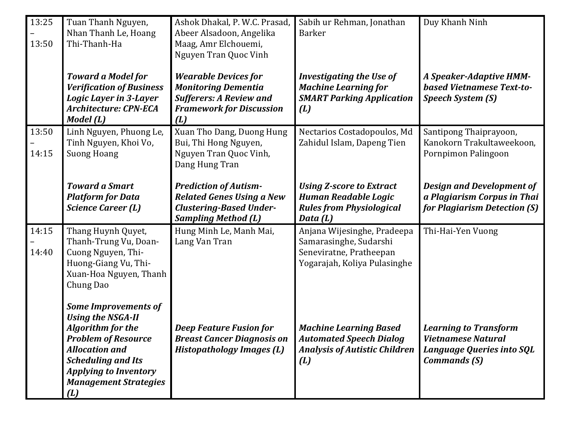| 13:25<br>13:50 | Tuan Thanh Nguyen,<br>Nhan Thanh Le, Hoang<br>Thi-Thanh-Ha                                                                                                                                                                                     | Ashok Dhakal, P. W.C. Prasad,<br>Abeer Alsadoon, Angelika<br>Maag, Amr Elchouemi,<br>Nguyen Tran Quoc Vinh                            | Sabih ur Rehman, Jonathan<br><b>Barker</b>                                                                       | Duy Khanh Ninh                                                                                                       |
|----------------|------------------------------------------------------------------------------------------------------------------------------------------------------------------------------------------------------------------------------------------------|---------------------------------------------------------------------------------------------------------------------------------------|------------------------------------------------------------------------------------------------------------------|----------------------------------------------------------------------------------------------------------------------|
|                | <b>Toward a Model for</b><br><b>Verification of Business</b><br><b>Logic Layer in 3-Layer</b><br><b>Architecture: CPN-ECA</b><br>Model (L)                                                                                                     | <b>Wearable Devices for</b><br><b>Monitoring Dementia</b><br><b>Sufferers: A Review and</b><br><b>Framework for Discussion</b><br>(L) | <b>Investigating the Use of</b><br><b>Machine Learning for</b><br><b>SMART Parking Application</b><br>(L)        | A Speaker-Adaptive HMM-<br>based Vietnamese Text-to-<br><b>Speech System (S)</b>                                     |
| 13:50<br>14:15 | Linh Nguyen, Phuong Le,<br>Tinh Nguyen, Khoi Vo,<br><b>Suong Hoang</b>                                                                                                                                                                         | Xuan Tho Dang, Duong Hung<br>Bui, Thi Hong Nguyen,<br>Nguyen Tran Quoc Vinh,<br>Dang Hung Tran                                        | Nectarios Costadopoulos, Md<br>Zahidul Islam, Dapeng Tien                                                        | Santipong Thaiprayoon,<br>Kanokorn Trakultaweekoon,<br>Pornpimon Palingoon                                           |
|                | <b>Toward a Smart</b><br><b>Platform for Data</b><br><b>Science Career (L)</b>                                                                                                                                                                 | <b>Prediction of Autism-</b><br><b>Related Genes Using a New</b><br><b>Clustering-Based Under-</b><br><b>Sampling Method (L)</b>      | <b>Using Z-score to Extract</b><br><b>Human Readable Logic</b><br><b>Rules from Physiological</b><br>Data (L)    | <b>Design and Development of</b><br>a Plagiarism Corpus in Thai<br>for Plagiarism Detection (S)                      |
| 14:15<br>14:40 | Thang Huynh Quyet,<br>Thanh-Trung Vu, Doan-<br>Cuong Nguyen, Thi-<br>Huong-Giang Vu, Thi-<br>Xuan-Hoa Nguyen, Thanh<br>Chung Dao                                                                                                               | Hung Minh Le, Manh Mai,<br>Lang Van Tran                                                                                              | Anjana Wijesinghe, Pradeepa<br>Samarasinghe, Sudarshi<br>Seneviratne, Pratheepan<br>Yogarajah, Koliya Pulasinghe | Thi-Hai-Yen Vuong                                                                                                    |
|                | <b>Some Improvements of</b><br><b>Using the NSGA-II</b><br><b>Algorithm for the</b><br><b>Problem of Resource</b><br><b>Allocation and</b><br><b>Scheduling and Its</b><br><b>Applying to Inventory</b><br><b>Management Strategies</b><br>(L) | <b>Deep Feature Fusion for</b><br><b>Breast Cancer Diagnosis on</b><br><b>Histopathology Images (L)</b>                               | <b>Machine Learning Based</b><br><b>Automated Speech Dialog</b><br><b>Analysis of Autistic Children</b><br>(L)   | <b>Learning to Transform</b><br><b>Vietnamese Natural</b><br><b>Language Queries into SQL</b><br><b>Commands (S)</b> |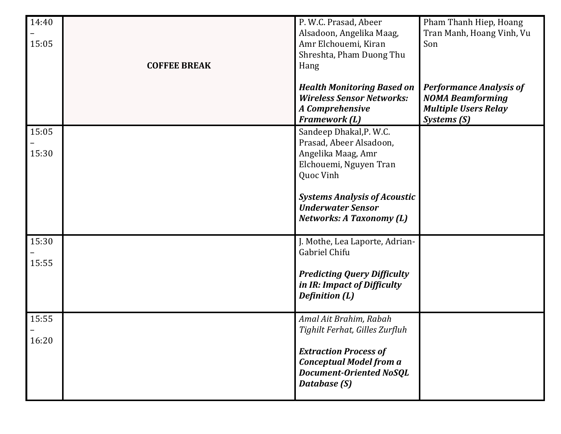| 14:40<br>15:05 | <b>COFFEE BREAK</b> | P. W.C. Prasad, Abeer<br>Alsadoon, Angelika Maag,<br>Amr Elchouemi, Kiran<br>Shreshta, Pham Duong Thu<br>Hang<br><b>Health Monitoring Based on</b>                           | Pham Thanh Hiep, Hoang<br>Tran Manh, Hoang Vinh, Vu<br>Son<br><b>Performance Analysis of</b> |
|----------------|---------------------|------------------------------------------------------------------------------------------------------------------------------------------------------------------------------|----------------------------------------------------------------------------------------------|
|                |                     | <b>Wireless Sensor Networks:</b><br>A Comprehensive<br><b>Framework (L)</b>                                                                                                  | <b>NOMA Beamforming</b><br><b>Multiple Users Relay</b><br>Systems (S)                        |
| 15:05<br>15:30 |                     | Sandeep Dhakal, P. W.C.<br>Prasad, Abeer Alsadoon,<br>Angelika Maag, Amr<br>Elchouemi, Nguyen Tran<br>Quoc Vinh                                                              |                                                                                              |
|                |                     | <b>Systems Analysis of Acoustic</b><br><b>Underwater Sensor</b><br><b>Networks: A Taxonomy (L)</b>                                                                           |                                                                                              |
| 15:30<br>15:55 |                     | J. Mothe, Lea Laporte, Adrian-<br>Gabriel Chifu<br><b>Predicting Query Difficulty</b><br>in IR: Impact of Difficulty<br><b>Definition (L)</b>                                |                                                                                              |
| 15:55<br>16:20 |                     | Amal Ait Brahim, Rabah<br>Tighilt Ferhat, Gilles Zurfluh<br><b>Extraction Process of</b><br><b>Conceptual Model from a</b><br><b>Document-Oriented NoSQL</b><br>Database (S) |                                                                                              |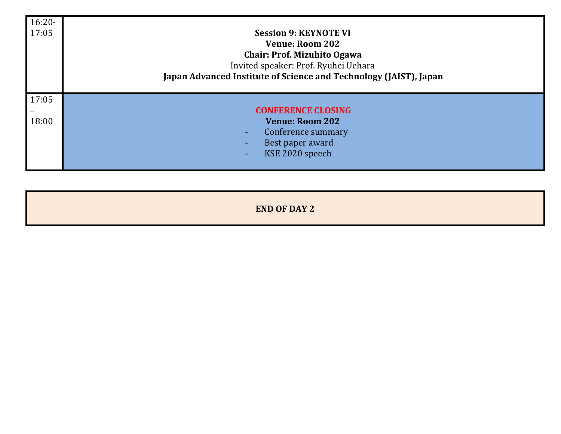| $16:20-$<br>17:05 | <b>Session 9: KEYNOTE VI</b><br><b>Venue: Room 202</b><br><b>Chair: Prof. Mizuhito Ogawa</b><br>Invited speaker: Prof. Ryuhei Uehara<br>Japan Advanced Institute of Science and Technology (JAIST), Japan |
|-------------------|-----------------------------------------------------------------------------------------------------------------------------------------------------------------------------------------------------------|
| 17:05             |                                                                                                                                                                                                           |
|                   | <b>CONFERENCE CLOSING</b>                                                                                                                                                                                 |
| 18:00             | <b>Venue: Room 202</b>                                                                                                                                                                                    |
|                   | Conference summary                                                                                                                                                                                        |
|                   | Best paper award                                                                                                                                                                                          |
|                   | KSE 2020 speech<br>н.                                                                                                                                                                                     |
|                   |                                                                                                                                                                                                           |

**END OF DAY 2**